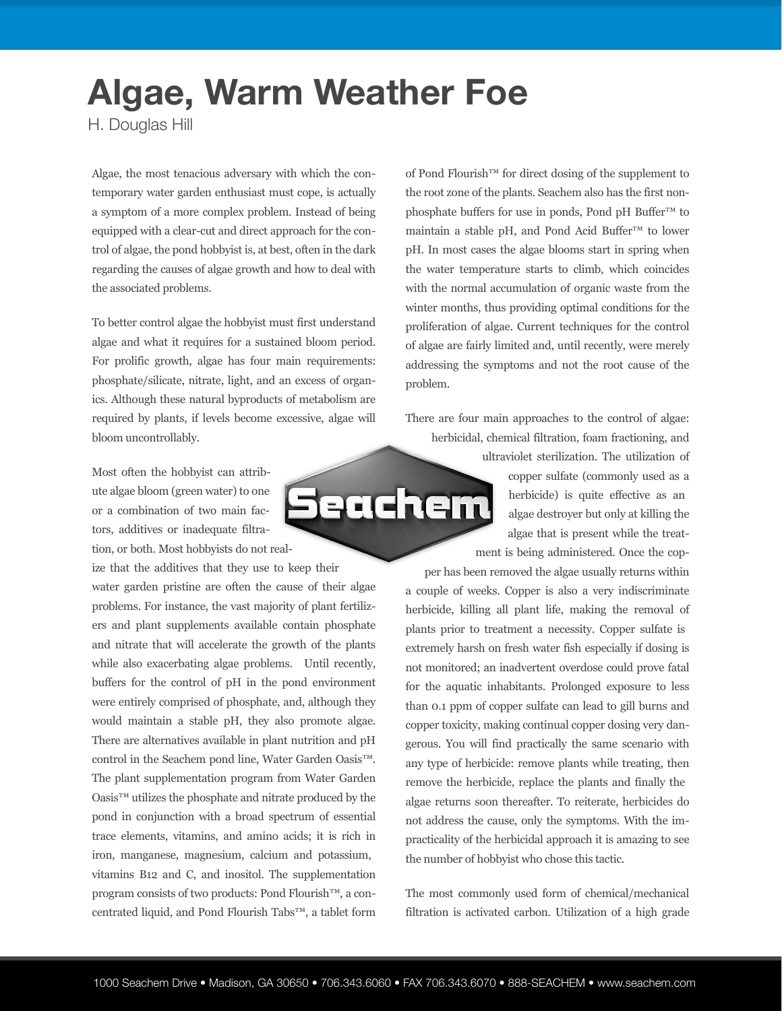## **Algae, Warm Weather Foe**

H. Douglas Hill

Algae, the most tenacious adversary with which the contemporary water garden enthusiast must cope, is actually a symptom of a more complex problem. Instead of being equipped with a clear-cut and direct approach for the control of algae, the pond hobbyist is, at best, often in the dark regarding the causes of algae growth and how to deal with the associated problems.

To better control algae the hobbyist must first understand algae and what it requires for a sustained bloom period. For prolific growth, algae has four main requirements: phosphate/silicate, nitrate, light, and an excess of organics. Although these natural byproducts of metabolism are required by plants, if levels become excessive, algae will bloom uncontrollably.

Most often the hobbyist can attribute algae bloom (green water) to one or a combination of two main factors, additives or inadequate filtration, or both. Most hobbyists do not real-

ize that the additives that they use to keep their water garden pristine are often the cause of their algae problems. For instance, the vast majority of plant fertilizers and plant supplements available contain phosphate and nitrate that will accelerate the growth of the plants while also exacerbating algae problems. Until recently, buffers for the control of pH in the pond environment were entirely comprised of phosphate, and, although they would maintain a stable pH, they also promote algae. There are alternatives available in plant nutrition and pH control in the Seachem pond line, Water Garden Oasis™. The plant supplementation program from Water Garden Oasis™ utilizes the phosphate and nitrate produced by the pond in conjunction with a broad spectrum of essential trace elements, vitamins, and amino acids; it is rich in iron, manganese, magnesium, calcium and potassium, vitamins B12 and C, and inositol. The supplementation program consists of two products: Pond Flourish™, a concentrated liquid, and Pond Flourish Tabs™, a tablet form

of Pond Flourish™ for direct dosing of the supplement to the root zone of the plants. Seachem also has the first nonphosphate buffers for use in ponds, Pond pH Buffer™ to maintain a stable pH, and Pond Acid Buffer™ to lower pH. In most cases the algae blooms start in spring when the water temperature starts to climb, which coincides with the normal accumulation of organic waste from the winter months, thus providing optimal conditions for the proliferation of algae. Current techniques for the control of algae are fairly limited and, until recently, were merely addressing the symptoms and not the root cause of the problem.

There are four main approaches to the control of algae: herbicidal, chemical filtration, foam fractioning, and



ultraviolet sterilization. The utilization of copper sulfate (commonly used as a herbicide) is quite effective as an algae destroyer but only at killing the algae that is present while the treatment is being administered. Once the cop-

per has been removed the algae usually returns within a couple of weeks. Copper is also a very indiscriminate herbicide, killing all plant life, making the removal of plants prior to treatment a necessity. Copper sulfate is extremely harsh on fresh water fish especially if dosing is not monitored; an inadvertent overdose could prove fatal for the aquatic inhabitants. Prolonged exposure to less than 0.1 ppm of copper sulfate can lead to gill burns and copper toxicity, making continual copper dosing very dangerous. You will find practically the same scenario with any type of herbicide: remove plants while treating, then remove the herbicide, replace the plants and finally the algae returns soon thereafter. To reiterate, herbicides do not address the cause, only the symptoms. With the impracticality of the herbicidal approach it is amazing to see the number of hobbyist who chose this tactic.

The most commonly used form of chemical/mechanical filtration is activated carbon. Utilization of a high grade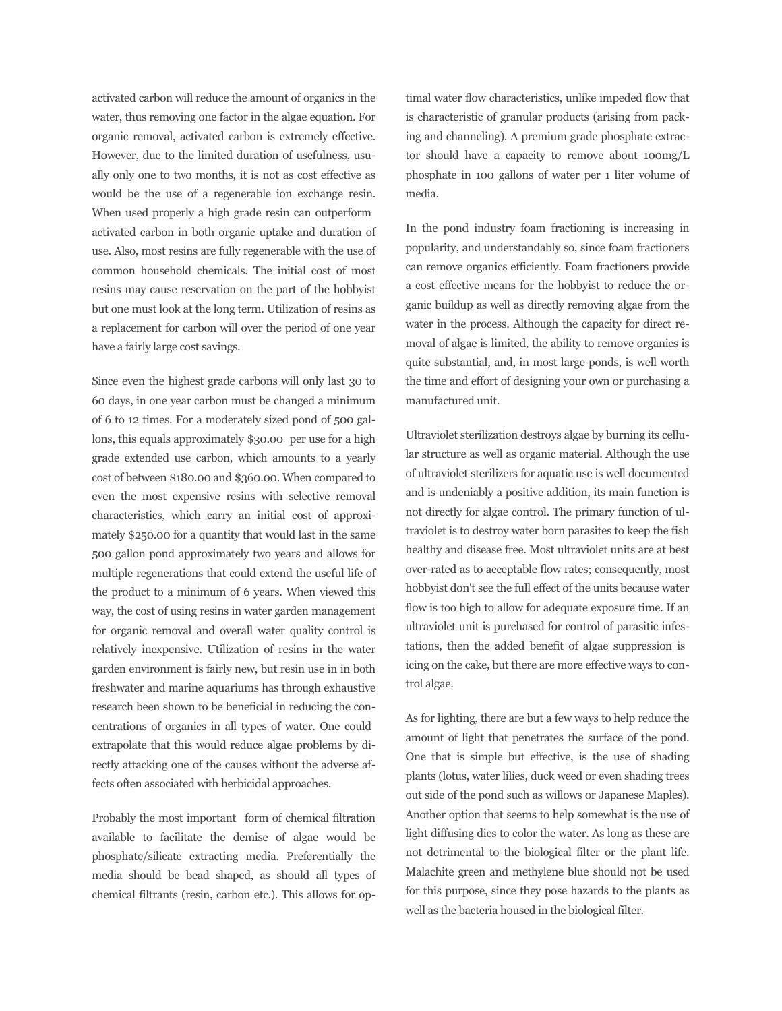activated carbon will reduce the amount of organics in the water, thus removing one factor in the algae equation. For organic removal, activated carbon is extremely effective. However, due to the limited duration of usefulness, usually only one to two months, it is not as cost effective as would be the use of a regenerable ion exchange resin. When used properly a high grade resin can outperform activated carbon in both organic uptake and duration of use. Also, most resins are fully regenerable with the use of common household chemicals. The initial cost of most resins may cause reservation on the part of the hobbyist but one must look at the long term. Utilization of resins as a replacement for carbon will over the period of one year have a fairly large cost savings.

Since even the highest grade carbons will only last 30 to 60 days, in one year carbon must be changed a minimum of 6 to 12 times. For a moderately sized pond of 500 gallons, this equals approximately \$30.00 per use for a high grade extended use carbon, which amounts to a yearly cost of between \$180.00 and \$360.00. When compared to even the most expensive resins with selective removal characteristics, which carry an initial cost of approximately \$250.00 for a quantity that would last in the same 500 gallon pond approximately two years and allows for multiple regenerations that could extend the useful life of the product to a minimum of 6 years. When viewed this way, the cost of using resins in water garden management for organic removal and overall water quality control is relatively inexpensive. Utilization of resins in the water garden environment is fairly new, but resin use in in both freshwater and marine aquariums has through exhaustive research been shown to be beneficial in reducing the concentrations of organics in all types of water. One could extrapolate that this would reduce algae problems by directly attacking one of the causes without the adverse affects often associated with herbicidal approaches.

Probably the most important form of chemical filtration available to facilitate the demise of algae would be phosphate/silicate extracting media. Preferentially the media should be bead shaped, as should all types of chemical filtrants (resin, carbon etc.). This allows for op-

timal water flow characteristics, unlike impeded flow that is characteristic of granular products (arising from packing and channeling). A premium grade phosphate extractor should have a capacity to remove about 100mg/L phosphate in 100 gallons of water per 1 liter volume of media.

In the pond industry foam fractioning is increasing in popularity, and understandably so, since foam fractioners can remove organics efficiently. Foam fractioners provide a cost effective means for the hobbyist to reduce the organic buildup as well as directly removing algae from the water in the process. Although the capacity for direct removal of algae is limited, the ability to remove organics is quite substantial, and, in most large ponds, is well worth the time and effort of designing your own or purchasing a manufactured unit.

Ultraviolet sterilization destroys algae by burning its cellular structure as well as organic material. Although the use of ultraviolet sterilizers for aquatic use is well documented and is undeniably a positive addition, its main function is not directly for algae control. The primary function of ultraviolet is to destroy water born parasites to keep the fish healthy and disease free. Most ultraviolet units are at best over-rated as to acceptable flow rates; consequently, most hobbyist don't see the full effect of the units because water flow is too high to allow for adequate exposure time. If an ultraviolet unit is purchased for control of parasitic infestations, then the added benefit of algae suppression is icing on the cake, but there are more effective ways to control algae.

As for lighting, there are but a few ways to help reduce the amount of light that penetrates the surface of the pond. One that is simple but effective, is the use of shading plants (lotus, water lilies, duck weed or even shading trees out side of the pond such as willows or Japanese Maples). Another option that seems to help somewhat is the use of light diffusing dies to color the water. As long as these are not detrimental to the biological filter or the plant life. Malachite green and methylene blue should not be used for this purpose, since they pose hazards to the plants as well as the bacteria housed in the biological filter.